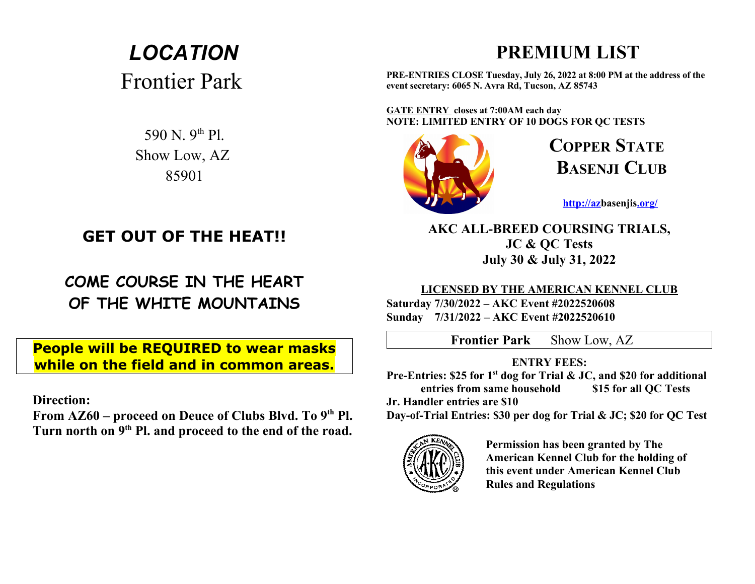# *LOCATION* Frontier Park

590 N. 9th Pl. Show Low, AZ 85901

## **GET OUT OF THE HEAT!!**

**COME COURSE IN THE HEART OF THE WHITE MOUNTAINS**

**People will be REQUIRED to wear masks while on the field and in common areas.**

 **Direction:**

 **From AZ60 – proceed on Deuce of Clubs Blvd. To 9th Pl. Turn north on 9th Pl. and proceed to the end of the road.**

## **PREMIUM LIST**

**PRE-ENTRIES CLOSE Tuesday, July 26, 2022 at 8:00 PM at the address of the event secretary: 6065 N. Avra Rd, Tucson, AZ 85743**

**GATE ENTRY closes at 7:00AM each day NOTE: LIMITED ENTRY OF 10 DOGS FOR QC TESTS**



**COPPER STATE BASENJI CLUB**

**[http://azb](http://az/)asenji[s.org/](http://newmexico-sighthounds.jigsy.com/)**

**AKC ALL-BREED COURSING TRIALS, JC & QC Tests July 30 & July 31, 2022**

## **LICENSED BY THE AMERICAN KENNEL CLUB**

**Saturday 7/30/2022 – AKC Event #2022520608 Sunday 7/31/2022 – AKC Event #2022520610**

**Frontier Park** Show Low, AZ

## **ENTRY FEES:**

**Pre-Entries: \$25 for 1st dog for Trial & JC, and \$20 for additional entries from same household \$15 for all QC Tests**

**Jr. Handler entries are \$10** 

**Day-of-Trial Entries: \$30 per dog for Trial & JC; \$20 for QC Test**



**Permission has been granted by The American Kennel Club for the holding of this event under American Kennel Club Rules and Regulations**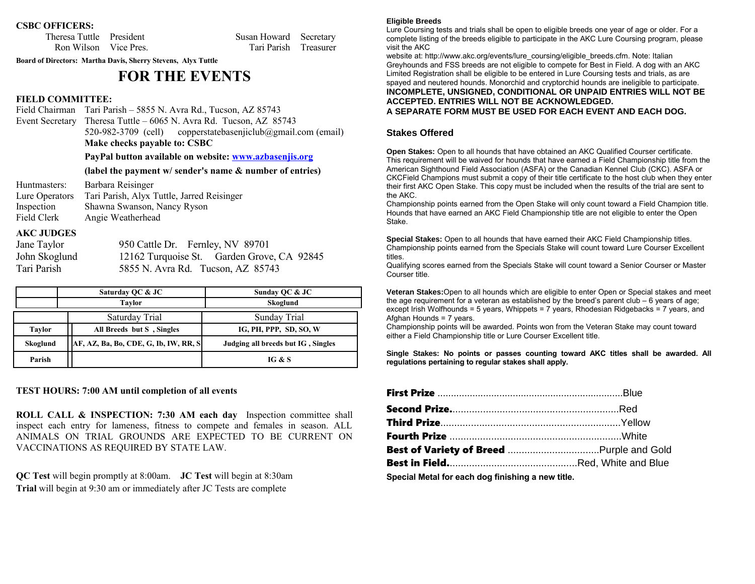### **CSBC OFFICERS:**

Theresa Tuttle President Susan Howard Secretary Ron Wilson Vice Pres. Tari Parish Treasurer

**Board of Directors: Martha Davis, Sherry Stevens, Alyx Tuttle**

## **FOR THE EVENTS**

### **FIELD COMMITTEE:**

Field Chairman Tari Parish – 5855 N. Avra Rd., Tucson, AZ 85743 Event Secretary Theresa Tuttle – 6065 N. Avra Rd. Tucson, AZ 85743 520-982-3709 (cell) copperstatebasenjiclub@gmail.com (email) **Make checks payable to: CSBC**

### **PayPal button available on website: [www.azbasenjis.o](http://www.azbasenjis.com/)rg**

### **(label the payment w/ sender's name & number of entries)**

| Huntmasters:   | Barbara Reisinger                          |
|----------------|--------------------------------------------|
| Lure Operators | Tari Parish, Alyx Tuttle, Jarred Reisinger |
| Inspection     | Shawna Swanson, Nancy Ryson                |
| Field Clerk    | Angie Weatherhead                          |

### **AKC JUDGES**

| Jane Taylor   | 95 |
|---------------|----|
| John Skoglund | 12 |
| Tari Parish   | 58 |

50 Cattle Dr. Fernley, NV 89701 2162 Turquoise St. Garden Grove, CA 92845 855 N. Avra Rd. Tucson, AZ 85743

|                                                      | Saturday QC & JC | Sunday QC & JC                     |  |  |
|------------------------------------------------------|------------------|------------------------------------|--|--|
| <b>Taylor</b>                                        |                  | Skoglund                           |  |  |
| Saturday Trial                                       |                  | Sunday Trial                       |  |  |
| All Breeds but S, Singles<br><b>Taylor</b>           |                  | IG, PH, PPP, SD, SO, W             |  |  |
| $AF, AZ, Ba, Bo, CDE, G, Ib, IW, RR, Sl$<br>Skoglund |                  | Judging all breeds but IG, Singles |  |  |
| Parish                                               |                  | IG & S                             |  |  |

### **TEST HOURS: 7:00 AM until completion of all events**

**ROLL CALL & INSPECTION: 7:30 AM each day** Inspection committee shall inspect each entry for lameness, fitness to compete and females in season. ALL ANIMALS ON TRIAL GROUNDS ARE EXPECTED TO BE CURRENT ON VACCINATIONS AS REQUIRED BY STATE LAW.

**QC Test** will begin promptly at 8:00am. **JC Test** will begin at 8:30am **Trial** will begin at 9:30 am or immediately after JC Tests are complete

#### **Eligible Breeds**

Lure Coursing tests and trials shall be open to eligible breeds one year of age or older. For a complete listing of the breeds eligible to participate in the AKC Lure Coursing program, please visit the AKC

website at: http://www.akc.org/events/lure\_coursing/eligible\_breeds.cfm. Note: Italian Greyhounds and FSS breeds are not eligible to compete for Best in Field. A dog with an AKC Limited Registration shall be eligible to be entered in Lure Coursing tests and trials, as are spayed and neutered hounds. Monorchid and cryptorchid hounds are ineligible to participate. **INCOMPLETE, UNSIGNED, CONDITIONAL OR UNPAID ENTRIES WILL NOT BE ACCEPTED. ENTRIES WILL NOT BE ACKNOWLEDGED.** 

**A SEPARATE FORM MUST BE USED FOR EACH EVENT AND EACH DOG.**

### **Stakes Offered**

**Open Stakes:** Open to all hounds that have obtained an AKC Qualified Courser certificate. This requirement will be waived for hounds that have earned a Field Championship title from the American Sighthound Field Association (ASFA) or the Canadian Kennel Club (CKC). ASFA or CKCField Champions must submit a copy of their title certificate to the host club when they enter their first AKC Open Stake. This copy must be included when the results of the trial are sent to the AKC.

Championship points earned from the Open Stake will only count toward a Field Champion title. Hounds that have earned an AKC Field Championship title are not eligible to enter the Open Stake.

**Special Stakes:** Open to all hounds that have earned their AKC Field Championship titles. Championship points earned from the Specials Stake will count toward Lure Courser Excellent titles.

Qualifying scores earned from the Specials Stake will count toward a Senior Courser or Master Courser title.

**Veteran Stakes:**Open to all hounds which are eligible to enter Open or Special stakes and meet the age requirement for a veteran as established by the breed's parent  $club - 6$  years of age; except Irish Wolfhounds = 5 years, Whippets = 7 years, Rhodesian Ridgebacks = 7 years, and Afghan Hounds = 7 years.

Championship points will be awarded. Points won from the Veteran Stake may count toward either a Field Championship title or Lure Courser Excellent title.

**Single Stakes: No points or passes counting toward AKC titles shall be awarded. All regulations pertaining to regular stakes shall apply.** 

| $\mathcal{L}$ , and the set of the set of the set of the set of the set of the set of the set of the set of the set of the set of the set of the set of the set of the set of the set of the set of the set of the set of the set |  |
|-----------------------------------------------------------------------------------------------------------------------------------------------------------------------------------------------------------------------------------|--|

**Special Metal for each dog finishing a new title.**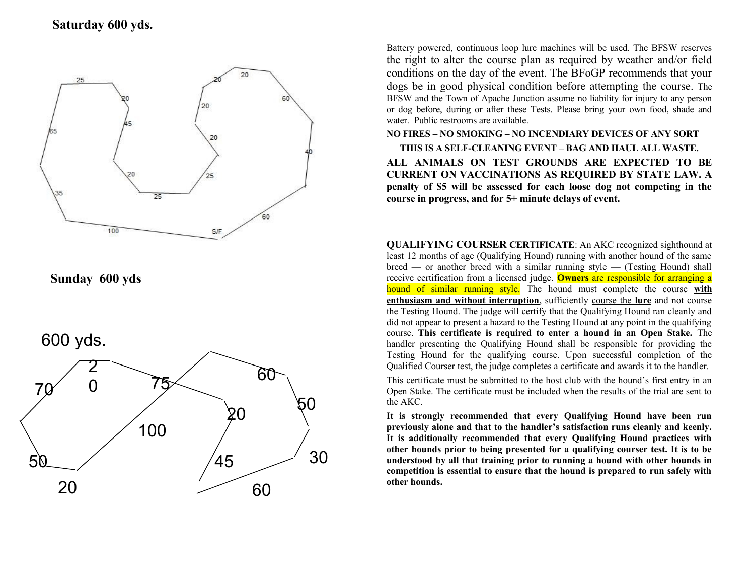## **Saturday 600 yds.**



**Sunday 600 yds**





Battery powered, continuous loop lure machines will be used. The BFSW reserves the right to alter the course plan as required by weather and/or field conditions on the day of the event. The BFoGP recommends that your dogs be in good physical condition before attempting the course. The BFSW and the Town of Apache Junction assume no liability for injury to any person or dog before, during or after these Tests. Please bring your own food, shade and water. Public restrooms are available.

**NO FIRES – NO SMOKING – NO INCENDIARY DEVICES OF ANY SORT THIS IS A SELF-CLEANING EVENT – BAG AND HAUL ALL WASTE. ALL ANIMALS ON TEST GROUNDS ARE EXPECTED TO BE CURRENT ON VACCINATIONS AS REQUIRED BY STATE LAW. A penalty of \$5 will be assessed for each loose dog not competing in the course in progress, and for 5+ minute delays of event.** 

**QUALIFYING COURSER CERTIFICATE**: An AKC recognized sighthound at least 12 months of age (Qualifying Hound) running with another hound of the same breed — or another breed with a similar running style — (Testing Hound) shall receive certification from a licensed judge. **Owners** are responsible for arranging a hound of similar running style. The hound must complete the course **with enthusiasm and without interruption**, sufficiently course the **lure** and not course the Testing Hound. The judge will certify that the Qualifying Hound ran cleanly and did not appear to present a hazard to the Testing Hound at any point in the qualifying course. **This certificate is required to enter a hound in an Open Stake.** The handler presenting the Qualifying Hound shall be responsible for providing the Testing Hound for the qualifying course. Upon successful completion of the Qualified Courser test, the judge completes a certificate and awards it to the handler.

This certificate must be submitted to the host club with the hound's first entry in an Open Stake. The certificate must be included when the results of the trial are sent to the AKC.

**It is strongly recommended that every Qualifying Hound have been run previously alone and that to the handler's satisfaction runs cleanly and keenly. It is additionally recommended that every Qualifying Hound practices with other hounds prior to being presented for a qualifying courser test. It is to be understood by all that training prior to running a hound with other hounds in competition is essential to ensure that the hound is prepared to run safely with**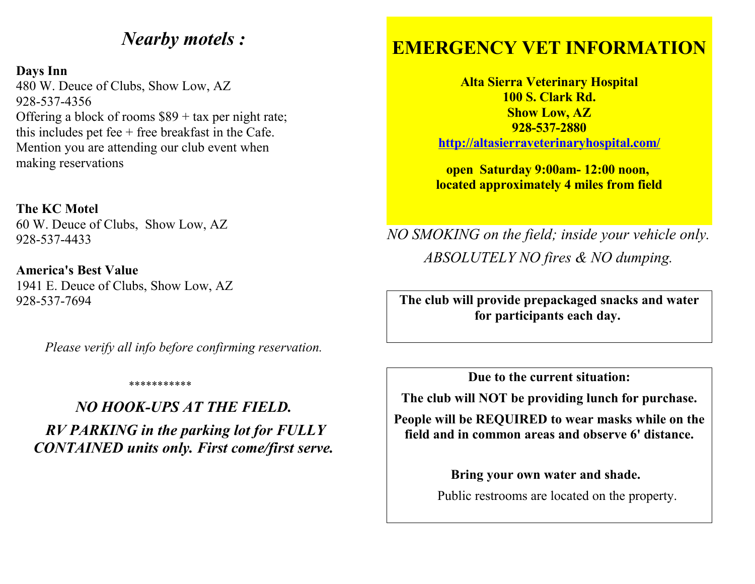## *Nearby motels :*

## **Days Inn**

480 W. Deuce of Clubs, Show Low, AZ 928-537-4356 Offering a block of rooms  $$89 + tax$  per night rate; this includes pet fee  $+$  free breakfast in the Cafe. Mention you are attending our club event when making reservations

**The KC Motel** 60 W. Deuce of Clubs, Show Low, AZ 928-537-4433

**America's Best Value**  1941 E. Deuce of Clubs, Show Low, AZ 928-537-7694

*Please verify all info before confirming reservation.*

## \*\*\*\*\*\*\*\*\*\*

*NO HOOK-UPS AT THE FIELD. RV PARKING in the parking lot for FULLY CONTAINED units only. First come/first serve.*

## **EMERGENCY VET INFORMATION**

**Alta Sierra Veterinary Hospital 100 S. Clark Rd. Show Low, AZ 928-537-2880 <http://altasierraveterinaryhospital.com/>**

**open Saturday 9:00am- 12:00 noon, located approximately 4 miles from field**

*NO SMOKING on the field; inside your vehicle only. ABSOLUTELY NO fires & NO dumping.*

**The club will provide prepackaged snacks and water for participants each day.** 

**Due to the current situation:**

 **The club will NOT be providing lunch for purchase.** 

**People will be REQUIRED to wear masks while on the field and in common areas and observe 6' distance.**

> **Bring your own water and shade.** Public restrooms are located on the property.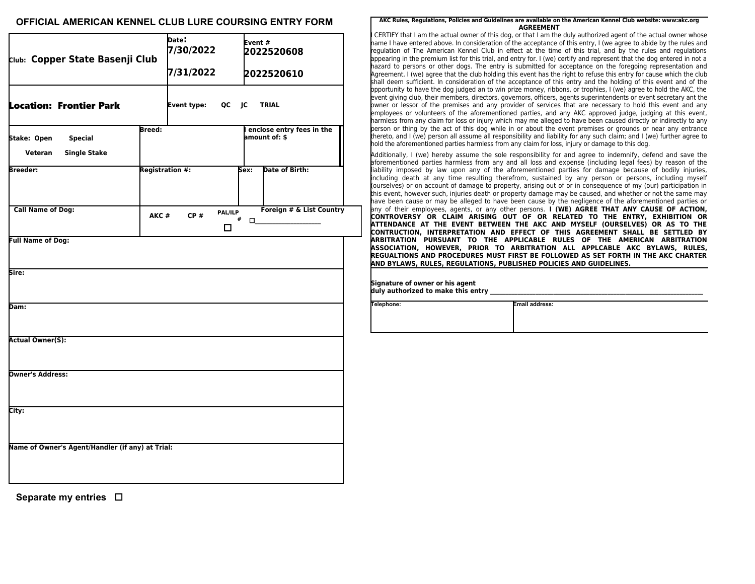### **OFFICIAL AMERICAN KENNEL CLUB LURE COURSING ENTRY FORM**

| Club: Copper State Basenji Club                                        |      | Date:<br>7/30/2022<br>7/31/2022 |              | Event#<br>2022520608<br>2022520610 |                                              |
|------------------------------------------------------------------------|------|---------------------------------|--------------|------------------------------------|----------------------------------------------|
| <b>Location: Frontier Park</b>                                         |      | Event type:                     |              |                                    | QC JC TRIAL                                  |
| <b>Breed:</b><br>Stake: Open<br><b>Special</b><br>Veteran Single Stake |      |                                 |              |                                    | I enclose entry fees in the<br>amount of: \$ |
| Breeder:                                                               |      | <b>Registration #:</b>          |              | Sex:                               | Date of Birth:                               |
| <b>Call Name of Dog:</b>                                               | AKC# | CP#                             | PAL/ILP<br>п |                                    | Foreign # & List Country<br>$^{\#}$ 0_____   |
| <b>Full Name of Dog:</b>                                               |      |                                 |              |                                    |                                              |
| Sire:                                                                  |      |                                 |              |                                    |                                              |
| Dam:                                                                   |      |                                 |              |                                    |                                              |
| <b>Actual Owner(S):</b>                                                |      |                                 |              |                                    |                                              |
| <b>Owner's Address:</b>                                                |      |                                 |              |                                    |                                              |
| City:                                                                  |      |                                 |              |                                    |                                              |
| Name of Owner's Agent/Handler (if any) at Trial:                       |      |                                 |              |                                    |                                              |

**Separate my entries** 

#### **AKC Rules, Regulations, Policies and Guidelines are available on the American Kennel Club website: www:akc.org AGREEMENT**

CERTIFY that I am the actual owner of this dog, or that I am the duly authorized agent of the actual owner whose name I have entered above. In consideration of the acceptance of this entry, I (we agree to abide by the rules and regulation of The American Kennel Club in effect at the time of this trial, and by the rules and regulations appearing in the premium list for this trial, and entry for. I (we) certify and represent that the dog entered in not a hazard to persons or other dogs. The entry is submitted for acceptance on the foregoing representation and Agreement. I (we) agree that the club holding this event has the right to refuse this entry for cause which the club shall deem sufficient. In consideration of the acceptance of this entry and the holding of this event and of the opportunity to have the dog judged an to win prize money, ribbons, or trophies, I (we) agree to hold the AKC, the event giving club, their members, directors, governors, officers, agents superintendents or event secretary ant the owner or lessor of the premises and any provider of services that are necessary to hold this event and any employees or volunteers of the aforementioned parties, and any AKC approved judge, judging at this event, harmless from any claim for loss or injury which may me alleged to have been caused directly or indirectly to any person or thing by the act of this dog while in or about the event premises or grounds or near any entrance thereto, and I (we) person all assume all responsibility and liability for any such claim; and I (we) further agree to hold the aforementioned parties harmless from any claim for loss, injury or damage to this dog.

Additionally, I (we) hereby assume the sole responsibility for and agree to indemnify, defend and save the aforementioned parties harmless from any and all loss and expense (including legal fees) by reason of the liability imposed by law upon any of the aforementioned parties for damage because of bodily injuries, including death at any time resulting therefrom, sustained by any person or persons, including myself (ourselves) or on account of damage to property, arising out of or in consequence of my (our) participation in this event, however such, injuries death or property damage may be caused, and whether or not the same may have been cause or may be alleged to have been cause by the negligence of the aforementioned parties or any of their employees, agents, or any other persons. **I (WE) AGREE THAT ANY CAUSE OF ACTION, CONTROVERSY OR CLAIM ARISING OUT OF OR RELATED TO THE ENTRY, EXHIBITION OR ATTENDANCE AT THE EVENT BETWEEN THE AKC AND MYSELF (OURSELVES) OR AS TO THE CONTRUCTION, INTERPRETATION AND EFFECT OF THIS AGREEMENT SHALL BE SETTLED BY ARBITRATION PURSUANT TO THE APPLICABLE RULES OF THE AMERICAN ARBITRATION ASSOCIATION, HOWEVER, PRIOR TO ARBITRATION ALL APPLCABLE AKC BYLAWS, RULES, REGUALTIONS AND PROCEDURES MUST FIRST BE FOLLOWED AS SET FORTH IN THE AKC CHARTER AND BYLAWS, RULES, REGULATIONS, PUBLISHED POLICIES AND GUIDELINES.**

**Signature of owner or his agent**  duly authorized to make this entry

**Telephone: Email address:**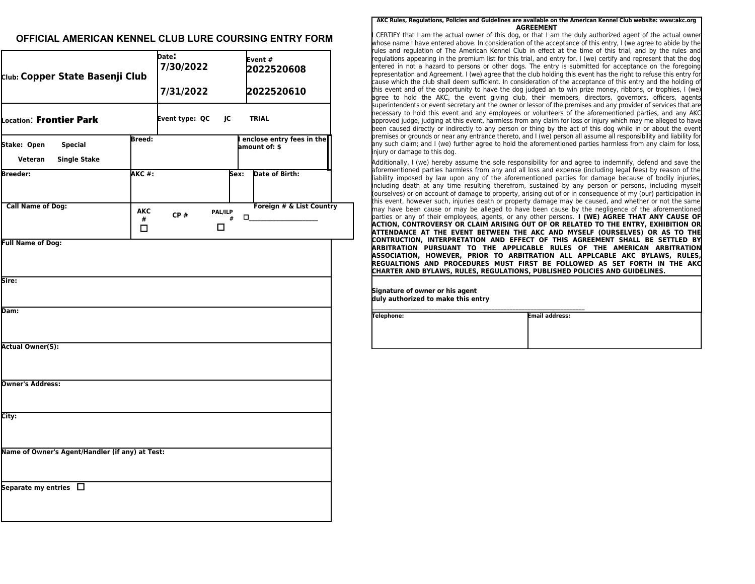### **OFFICIAL AMERICAN KENNEL CLUB LURE COURSING ENTRY FORM**

| Club: Copper State Basenji Club                                 |                      | Date:<br>7/30/2022<br>7/31/2022 |                   |      | Event#<br>2022520608<br>2022520610            |  |
|-----------------------------------------------------------------|----------------------|---------------------------------|-------------------|------|-----------------------------------------------|--|
| Location: Frontier Park                                         |                      | Event type: QC                  | JC                |      | <b>TRIAL</b>                                  |  |
| Stake: Open<br><b>Special</b><br><b>Single Stake</b><br>Veteran | Breed:               |                                 |                   |      | I enclose entry fees in the<br>amount of: \$  |  |
| Breeder:                                                        | АКС #:               |                                 |                   | Sex: | Date of Birth:                                |  |
| <b>Call Name of Dog:</b>                                        | <b>AKC</b><br>#<br>□ | CP#                             | PAL/ILP<br>#<br>□ |      | Foreign # & List Country<br>$\Box$ and $\Box$ |  |
| <b>Full Name of Dog:</b>                                        |                      |                                 |                   |      |                                               |  |
| Sire:                                                           |                      |                                 |                   |      |                                               |  |
| Dam:                                                            |                      |                                 |                   |      |                                               |  |
| <b>Actual Owner(S):</b>                                         |                      |                                 |                   |      |                                               |  |
| <b>Owner's Address:</b>                                         |                      |                                 |                   |      |                                               |  |
| City:                                                           |                      |                                 |                   |      |                                               |  |
| Name of Owner's Agent/Handler (if any) at Test:                 |                      |                                 |                   |      |                                               |  |
| Separate my entries $\Box$                                      |                      |                                 |                   |      |                                               |  |

#### **AKC Rules, Regulations, Policies and Guidelines are available on the American Kennel Club website: www:akc.org AGREEMENT**

CERTIFY that I am the actual owner of this dog, or that I am the duly authorized agent of the actual owner whose name I have entered above. In consideration of the acceptance of this entry, I (we agree to abide by the rules and regulation of The American Kennel Club in effect at the time of this trial, and by the rules and regulations appearing in the premium list for this trial, and entry for. I (we) certify and represent that the dog entered in not a hazard to persons or other dogs. The entry is submitted for acceptance on the foregoing representation and Agreement. I (we) agree that the club holding this event has the right to refuse this entry for cause which the club shall deem sufficient. In consideration of the acceptance of this entry and the holding of this event and of the opportunity to have the dog judged an to win prize money, ribbons, or trophies, I (we) agree to hold the AKC, the event giving club, their members, directors, governors, officers, agents superintendents or event secretary ant the owner or lessor of the premises and any provider of services that are necessary to hold this event and any employees or volunteers of the aforementioned parties, and any AKC approved judge, judging at this event, harmless from any claim for loss or injury which may me alleged to have been caused directly or indirectly to any person or thing by the act of this dog while in or about the event premises or grounds or near any entrance thereto, and I (we) person all assume all responsibility and liability fo any such claim; and I (we) further agree to hold the aforementioned parties harmless from any claim for loss, injury or damage to this dog.

Additionally, I (we) hereby assume the sole responsibility for and agree to indemnify, defend and save the aforementioned parties harmless from any and all loss and expense (including legal fees) by reason of the liability imposed by law upon any of the aforementioned parties for damage because of bodily injuries, including death at any time resulting therefrom, sustained by any person or persons, including myself (ourselves) or on account of damage to property, arising out of or in consequence of my (our) participation in this event, however such, injuries death or property damage may be caused, and whether or not the same may have been cause or may be alleged to have been cause by the negligence of the aforementioned parties or any of their employees, agents, or any other persons. **I (WE) AGREE THAT ANY CAUSE OF ACTION, CONTROVERSY OR CLAIM ARISING OUT OF OR RELATED TO THE ENTRY, EXHIBITION OR ATTENDANCE AT THE EVENT BETWEEN THE AKC AND MYSELF (OURSELVES) OR AS TO THE CONTRUCTION, INTERPRETATION AND EFFECT OF THIS AGREEMENT SHALL BE SETTLED BY ARBITRATION PURSUANT TO THE APPLICABLE RULES OF THE AMERICAN ARBITRATION ASSOCIATION, HOWEVER, PRIOR TO ARBITRATION ALL APPLCABLE AKC BYLAWS, RULES, REGUALTIONS AND PROCEDURES MUST FIRST BE FOLLOWED AS SET FORTH IN THE AKC CHARTER AND BYLAWS, RULES, REGULATIONS, PUBLISHED POLICIES AND GUIDELINES.**

**Signature of owner or his agent duly authorized to make this entry** 

**\_\_\_\_\_\_\_\_\_\_\_\_\_\_\_\_\_\_\_\_\_\_\_\_\_\_\_\_\_\_\_\_\_\_\_\_\_\_\_\_\_\_\_\_\_\_\_\_\_\_\_\_\_\_\_\_\_\_\_\_\_\_\_\_\_\_\_\_\_\_\_ Telephone: Email address:**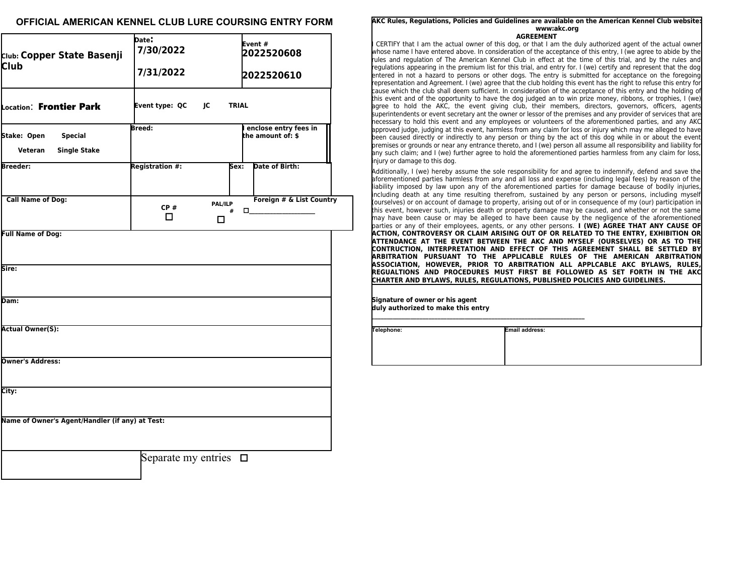### **OFFICIAL AMERICAN KENNEL CLUB LURE COURSING ENTRY FORM**

| Club: Copper State Basenji<br><b>Club</b>                       | Date:<br>7/30/2022<br>7/31/2022 |                           | Event#<br>2022520608<br>2022520610                       |  |  |
|-----------------------------------------------------------------|---------------------------------|---------------------------|----------------------------------------------------------|--|--|
| Location: Frontier Park                                         | Event type: QC                  | <b>IC</b><br><b>TRIAL</b> |                                                          |  |  |
| Stake: Open<br><b>Special</b><br><b>Single Stake</b><br>Veteran | <b>Breed:</b>                   |                           | enclose entry fees in<br>the amount of: \$               |  |  |
| <b>Breeder:</b>                                                 | Registration #:                 | Sex:                      | Date of Birth:                                           |  |  |
| <b>Call Name of Dog:</b>                                        | CP#<br>$\Box$                   | PAL/ILP<br>#<br>□         | Foreign # & List Country<br>$\Box$ and $\Box$ and $\Box$ |  |  |
| <b>Full Name of Dog:</b>                                        |                                 |                           |                                                          |  |  |
| lSire:                                                          |                                 |                           |                                                          |  |  |
| Dam:                                                            |                                 |                           |                                                          |  |  |
| <b>Actual Owner(S):</b>                                         |                                 |                           |                                                          |  |  |
| Owner's Address:                                                |                                 |                           |                                                          |  |  |
| City:                                                           |                                 |                           |                                                          |  |  |
| Name of Owner's Agent/Handler (if any) at Test:                 |                                 |                           |                                                          |  |  |

**AKC Rules, Regulations, Policies and Guidelines are available on the American Kennel Club website: www:akc.org AGREEMENT**

CERTIFY that I am the actual owner of this dog, or that I am the duly authorized agent of the actual owner whose name I have entered above. In consideration of the acceptance of this entry, I (we agree to abide by the rules and regulation of The American Kennel Club in effect at the time of this trial, and by the rules and regulations appearing in the premium list for this trial, and entry for. I (we) certify and represent that the dog entered in not a hazard to persons or other dogs. The entry is submitted for acceptance on the foregoing representation and Agreement. I (we) agree that the club holding this event has the right to refuse this entry for cause which the club shall deem sufficient. In consideration of the acceptance of this entry and the holding of this event and of the opportunity to have the dog judged an to win prize money, ribbons, or trophies, I (we) agree to hold the AKC, the event giving club, their members, directors, governors, officers, agents superintendents or event secretary ant the owner or lessor of the premises and any provider of services that are necessary to hold this event and any employees or volunteers of the aforementioned parties, and any AKC approved judge, judging at this event, harmless from any claim for loss or injury which may me alleged to have been caused directly or indirectly to any person or thing by the act of this dog while in or about the event premises or grounds or near any entrance thereto, and I (we) person all assume all responsibility and liability for any such claim; and I (we) further agree to hold the aforementioned parties harmless from any claim for loss, injury or damage to this dog.

Additionally, I (we) hereby assume the sole responsibility for and agree to indemnify, defend and save the aforementioned parties harmless from any and all loss and expense (including legal fees) by reason of the liability imposed by law upon any of the aforementioned parties for damage because of bodily injuries, including death at any time resulting therefrom, sustained by any person or persons, including myself (ourselves) or on account of damage to property, arising out of or in consequence of my (our) participation in this event, however such, injuries death or property damage may be caused, and whether or not the same may have been cause or may be alleged to have been cause by the negligence of the aforementioned parties or any of their employees, agents, or any other persons. **I (WE) AGREE THAT ANY CAUSE OF ACTION, CONTROVERSY OR CLAIM ARISING OUT OF OR RELATED TO THE ENTRY, EXHIBITION OR ATTENDANCE AT THE EVENT BETWEEN THE AKC AND MYSELF (OURSELVES) OR AS TO THE CONTRUCTION, INTERPRETATION AND EFFECT OF THIS AGREEMENT SHALL BE SETTLED BY ARBITRATION PURSUANT TO THE APPLICABLE RULES OF THE AMERICAN ARBITRATION ASSOCIATION, HOWEVER, PRIOR TO ARBITRATION ALL APPLCABLE AKC BYLAWS, RULES, REGUALTIONS AND PROCEDURES MUST FIRST BE FOLLOWED AS SET FORTH IN THE AKC CHARTER AND BYLAWS, RULES, REGULATIONS, PUBLISHED POLICIES AND GUIDELINES.**

| Signature of owner or his agent<br>duly authorized to make this entry |                       |
|-----------------------------------------------------------------------|-----------------------|
| Telephone:                                                            | <b>Email address:</b> |

Separate my entries  $\Box$